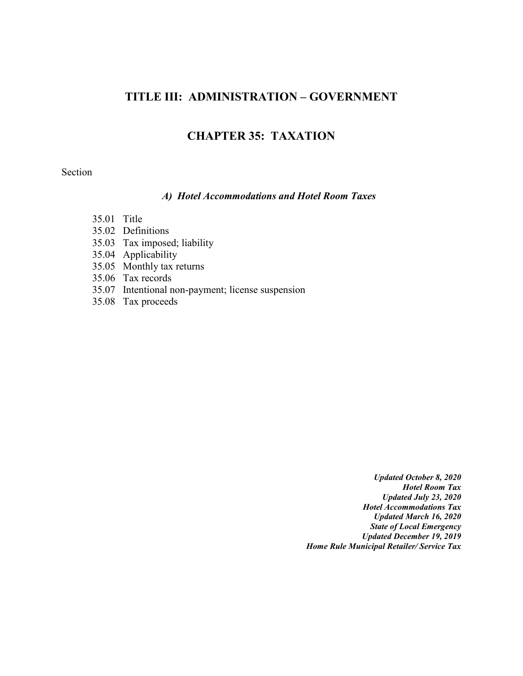# **TITLE III: ADMINISTRATION – GOVERNMENT**

## **CHAPTER 35: TAXATION**

#### Section

#### *A) Hotel Accommodations and Hotel Room Taxes*

- 35.01 Title
- 35.02 Definitions
- 35.03 Tax imposed; liability
- 35.04 Applicability
- 35.05 Monthly tax returns
- 35.06 Tax records
- 35.07 Intentional non-payment; license suspension
- 35.08 Tax proceeds

*Updated October 8, 2020 Hotel Room Tax Updated July 23, 2020 Hotel Accommodations Tax Updated March 16, 2020 State of Local Emergency Updated December 19, 2019 Home Rule Municipal Retailer/ Service Tax*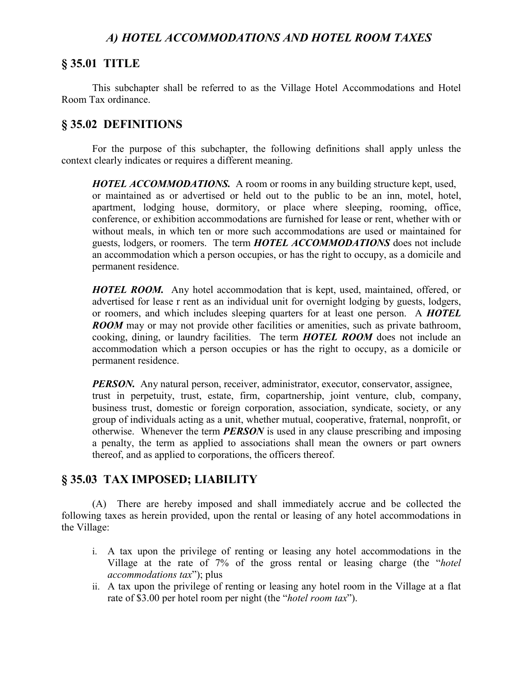## *A) HOTEL ACCOMMODATIONS AND HOTEL ROOM TAXES*

## **§ 35.01 TITLE**

This subchapter shall be referred to as the Village Hotel Accommodations and Hotel Room Tax ordinance.

## **§ 35.02 DEFINITIONS**

For the purpose of this subchapter, the following definitions shall apply unless the context clearly indicates or requires a different meaning.

*HOTEL ACCOMMODATIONS.* A room or rooms in any building structure kept, used, or maintained as or advertised or held out to the public to be an inn, motel, hotel, apartment, lodging house, dormitory, or place where sleeping, rooming, office, conference, or exhibition accommodations are furnished for lease or rent, whether with or without meals, in which ten or more such accommodations are used or maintained for guests, lodgers, or roomers. The term *HOTEL ACCOMMODATIONS* does not include an accommodation which a person occupies, or has the right to occupy, as a domicile and permanent residence.

*HOTEL ROOM.* Any hotel accommodation that is kept, used, maintained, offered, or advertised for lease r rent as an individual unit for overnight lodging by guests, lodgers, or roomers, and which includes sleeping quarters for at least one person. A *HOTEL ROOM* may or may not provide other facilities or amenities, such as private bathroom, cooking, dining, or laundry facilities. The term *HOTEL ROOM* does not include an accommodation which a person occupies or has the right to occupy, as a domicile or permanent residence.

*PERSON.* Any natural person, receiver, administrator, executor, conservator, assignee, trust in perpetuity, trust, estate, firm, copartnership, joint venture, club, company, business trust, domestic or foreign corporation, association, syndicate, society, or any group of individuals acting as a unit, whether mutual, cooperative, fraternal, nonprofit, or otherwise. Whenever the term *PERSON* is used in any clause prescribing and imposing a penalty, the term as applied to associations shall mean the owners or part owners thereof, and as applied to corporations, the officers thereof.

## **§ 35.03 TAX IMPOSED; LIABILITY**

(A) There are hereby imposed and shall immediately accrue and be collected the following taxes as herein provided, upon the rental or leasing of any hotel accommodations in the Village:

- i. A tax upon the privilege of renting or leasing any hotel accommodations in the Village at the rate of 7% of the gross rental or leasing charge (the "*hotel accommodations tax*"); plus
- ii. A tax upon the privilege of renting or leasing any hotel room in the Village at a flat rate of \$3.00 per hotel room per night (the "*hotel room tax*").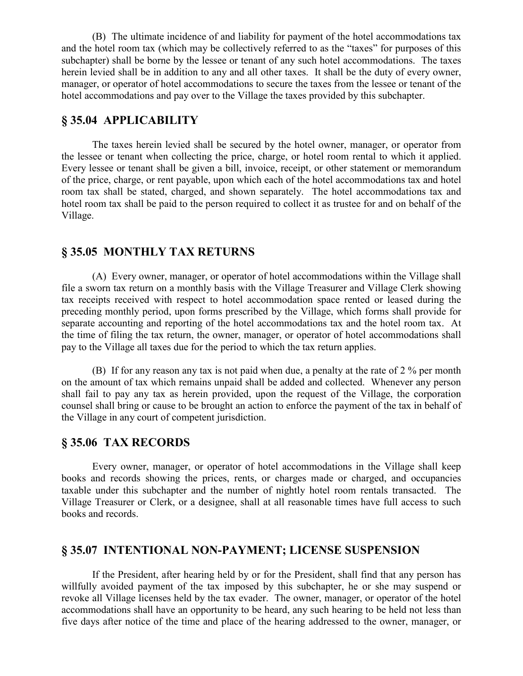(B) The ultimate incidence of and liability for payment of the hotel accommodations tax and the hotel room tax (which may be collectively referred to as the "taxes" for purposes of this subchapter) shall be borne by the lessee or tenant of any such hotel accommodations. The taxes herein levied shall be in addition to any and all other taxes. It shall be the duty of every owner, manager, or operator of hotel accommodations to secure the taxes from the lessee or tenant of the hotel accommodations and pay over to the Village the taxes provided by this subchapter.

## **§ 35.04 APPLICABILITY**

The taxes herein levied shall be secured by the hotel owner, manager, or operator from the lessee or tenant when collecting the price, charge, or hotel room rental to which it applied. Every lessee or tenant shall be given a bill, invoice, receipt, or other statement or memorandum of the price, charge, or rent payable, upon which each of the hotel accommodations tax and hotel room tax shall be stated, charged, and shown separately. The hotel accommodations tax and hotel room tax shall be paid to the person required to collect it as trustee for and on behalf of the Village.

## **§ 35.05 MONTHLY TAX RETURNS**

(A) Every owner, manager, or operator of hotel accommodations within the Village shall file a sworn tax return on a monthly basis with the Village Treasurer and Village Clerk showing tax receipts received with respect to hotel accommodation space rented or leased during the preceding monthly period, upon forms prescribed by the Village, which forms shall provide for separate accounting and reporting of the hotel accommodations tax and the hotel room tax. At the time of filing the tax return, the owner, manager, or operator of hotel accommodations shall pay to the Village all taxes due for the period to which the tax return applies.

(B) If for any reason any tax is not paid when due, a penalty at the rate of 2 % per month on the amount of tax which remains unpaid shall be added and collected. Whenever any person shall fail to pay any tax as herein provided, upon the request of the Village, the corporation counsel shall bring or cause to be brought an action to enforce the payment of the tax in behalf of the Village in any court of competent jurisdiction.

### **§ 35.06 TAX RECORDS**

Every owner, manager, or operator of hotel accommodations in the Village shall keep books and records showing the prices, rents, or charges made or charged, and occupancies taxable under this subchapter and the number of nightly hotel room rentals transacted. The Village Treasurer or Clerk, or a designee, shall at all reasonable times have full access to such books and records.

### **§ 35.07 INTENTIONAL NON-PAYMENT; LICENSE SUSPENSION**

If the President, after hearing held by or for the President, shall find that any person has willfully avoided payment of the tax imposed by this subchapter, he or she may suspend or revoke all Village licenses held by the tax evader. The owner, manager, or operator of the hotel accommodations shall have an opportunity to be heard, any such hearing to be held not less than five days after notice of the time and place of the hearing addressed to the owner, manager, or